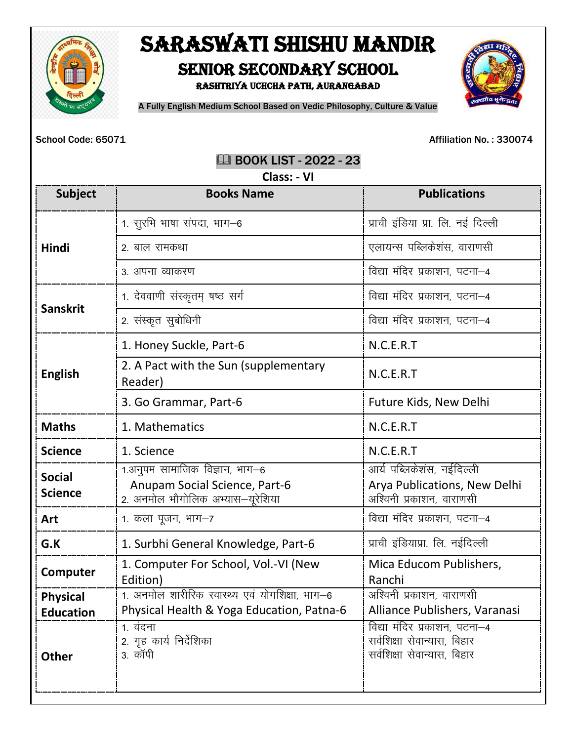

## SARASWATI SHISHU MANDIR SENIOR SECONDARY SCHOOL

Rashtriya Uchcha Path, Aurangabad



A Fully English Medium School Based on Vedic Philosophy, Culture & Value

School Code: 65071 **Affiliation No.: 330074** 

**EQ BOOK LIST - 2022 - 23** 

| Class: - VI                     |                                                                                                     |                                                                                            |  |
|---------------------------------|-----------------------------------------------------------------------------------------------------|--------------------------------------------------------------------------------------------|--|
| <b>Subject</b>                  | <b>Books Name</b>                                                                                   | <b>Publications</b>                                                                        |  |
| Hindi                           | 1. सुरभि भाषा संपदा, भाग-6                                                                          | प्राची इंडिया प्रा. लि. नई दिल्ली                                                          |  |
|                                 | 2. बाल रामकथा                                                                                       | एलायन्स पब्लिकेशंस, वाराणसी                                                                |  |
|                                 | 3. अपना व्याकरण                                                                                     | विद्या मंदिर प्रकाशन, पटना–4                                                               |  |
| <b>Sanskrit</b>                 | 1. देववाणी संस्कृतम् षष्ठ सर्ग                                                                      | विद्या मंदिर प्रकाशन, पटना-4                                                               |  |
|                                 | 2. संस्कृत सुबोधिनी                                                                                 | विद्या मंदिर प्रकाशन, पटना–4                                                               |  |
| <b>English</b>                  | 1. Honey Suckle, Part-6                                                                             | N.C.E.R.T                                                                                  |  |
|                                 | 2. A Pact with the Sun (supplementary<br>Reader)                                                    | N.C.E.R.T                                                                                  |  |
|                                 | 3. Go Grammar, Part-6                                                                               | Future Kids, New Delhi                                                                     |  |
| <b>Maths</b>                    | 1. Mathematics                                                                                      | N.C.E.R.T                                                                                  |  |
| <b>Science</b>                  | 1. Science                                                                                          | N.C.E.R.T                                                                                  |  |
| <b>Social</b><br><b>Science</b> | 1.अनुपम सामाजिक विज्ञान, भाग–6<br>Anupam Social Science, Part-6<br>2. अनमोल भौगोलिक अभ्यास-यूरेशिया | आर्य पब्लिकेशंस, नईदिल्ली<br>Arya Publications, New Delhi<br>अश्विनी प्रकाशन, वाराणसी      |  |
| Art                             | 1. कला पूजन, भाग–7                                                                                  | विद्या मंदिर प्रकाशन, पटना-4                                                               |  |
| G.K                             | 1. Surbhi General Knowledge, Part-6                                                                 | प्राची इंडियाप्रा. लि. नईदिल्ली                                                            |  |
| Computer                        | 1. Computer For School, Vol.-VI (New<br>Edition)                                                    | Mica Educom Publishers,<br>Ranchi                                                          |  |
| <b>Physical</b>                 | 1. अनमोल शारीरिक स्वास्थ्य एवं योगशिक्षा, भाग–6                                                     | अश्विनी प्रकाशन, वाराणसी                                                                   |  |
| <b>Education</b>                | Physical Health & Yoga Education, Patna-6                                                           | Alliance Publishers, Varanasi                                                              |  |
| <b>Other</b>                    | 1. वंदना<br>2. गृह कार्य निर्देशिका<br>3. कॉपी                                                      | विद्या मंदिर प्रकाशन, पटना–4<br>सर्वशिक्षा सेवान्यास, बिहार<br>सर्वशिक्षा सेवान्यास, बिहार |  |